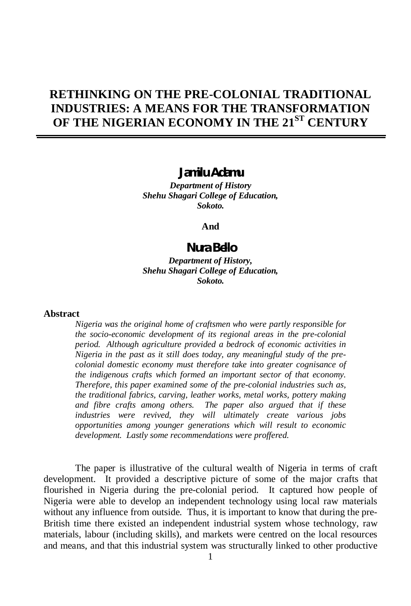# **RETHINKING ON THE PRE-COLONIAL TRADITIONAL INDUSTRIES: A MEANS FOR THE TRANSFORMATION OF THE NIGERIAN ECONOMY IN THE 21ST CENTURY**

# *Jamilu Adamu*

*Department of History Shehu Shagari College of Education, Sokoto.*

**And**

# *Nura Bello*

*Department of History, Shehu Shagari College of Education, Sokoto.*

#### **Abstract**

*Nigeria was the original home of craftsmen who were partly responsible for the socio-economic development of its regional areas in the pre-colonial period. Although agriculture provided a bedrock of economic activities in Nigeria in the past as it still does today, any meaningful study of the precolonial domestic economy must therefore take into greater cognisance of the indigenous crafts which formed an important sector of that economy. Therefore, this paper examined some of the pre-colonial industries such as, the traditional fabrics, carving, leather works, metal works, pottery making and fibre crafts among others. The paper also argued that if these industries were revived, they will ultimately create various jobs opportunities among younger generations which will result to economic development. Lastly some recommendations were proffered.*

The paper is illustrative of the cultural wealth of Nigeria in terms of craft development. It provided a descriptive picture of some of the major crafts that flourished in Nigeria during the pre-colonial period. It captured how people of Nigeria were able to develop an independent technology using local raw materials without any influence from outside. Thus, it is important to know that during the pre-British time there existed an independent industrial system whose technology, raw materials, labour (including skills), and markets were centred on the local resources and means, and that this industrial system was structurally linked to other productive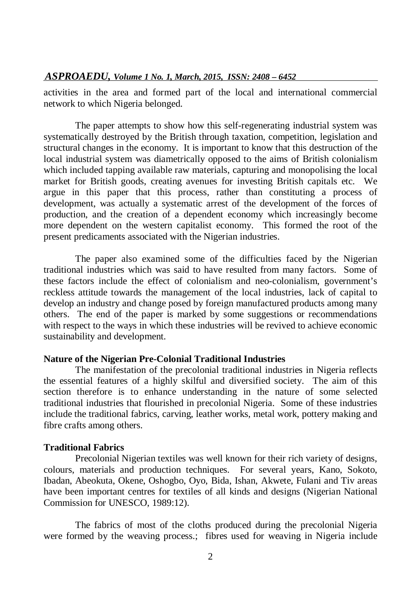activities in the area and formed part of the local and international commercial network to which Nigeria belonged.

The paper attempts to show how this self-regenerating industrial system was systematically destroyed by the British through taxation, competition, legislation and structural changes in the economy. It is important to know that this destruction of the local industrial system was diametrically opposed to the aims of British colonialism which included tapping available raw materials, capturing and monopolising the local market for British goods, creating avenues for investing British capitals etc. We argue in this paper that this process, rather than constituting a process of development, was actually a systematic arrest of the development of the forces of production, and the creation of a dependent economy which increasingly become more dependent on the western capitalist economy. This formed the root of the present predicaments associated with the Nigerian industries.

The paper also examined some of the difficulties faced by the Nigerian traditional industries which was said to have resulted from many factors. Some of these factors include the effect of colonialism and neo-colonialism, government's reckless attitude towards the management of the local industries, lack of capital to develop an industry and change posed by foreign manufactured products among many others. The end of the paper is marked by some suggestions or recommendations with respect to the ways in which these industries will be revived to achieve economic sustainability and development.

#### **Nature of the Nigerian Pre-Colonial Traditional Industries**

The manifestation of the precolonial traditional industries in Nigeria reflects the essential features of a highly skilful and diversified society. The aim of this section therefore is to enhance understanding in the nature of some selected traditional industries that flourished in precolonial Nigeria. Some of these industries include the traditional fabrics, carving, leather works, metal work, pottery making and fibre crafts among others.

#### **Traditional Fabrics**

Precolonial Nigerian textiles was well known for their rich variety of designs, colours, materials and production techniques. For several years, Kano, Sokoto, Ibadan, Abeokuta, Okene, Oshogbo, Oyo, Bida, Ishan, Akwete, Fulani and Tiv areas have been important centres for textiles of all kinds and designs (Nigerian National Commission for UNESCO, 1989:12).

The fabrics of most of the cloths produced during the precolonial Nigeria were formed by the weaving process.; fibres used for weaving in Nigeria include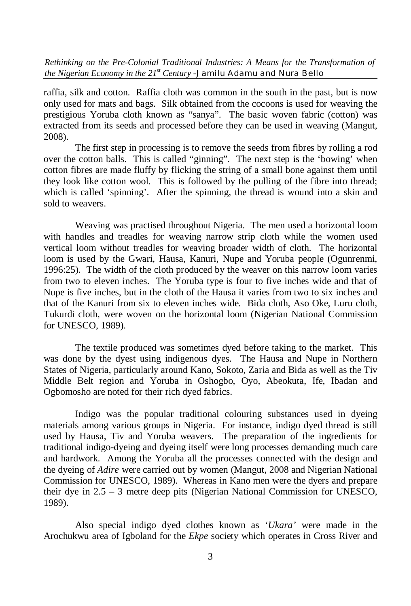raffia, silk and cotton. Raffia cloth was common in the south in the past, but is now only used for mats and bags. Silk obtained from the cocoons is used for weaving the prestigious Yoruba cloth known as "sanya". The basic woven fabric (cotton) was extracted from its seeds and processed before they can be used in weaving (Mangut, 2008).

The first step in processing is to remove the seeds from fibres by rolling a rod over the cotton balls. This is called "ginning". The next step is the 'bowing' when cotton fibres are made fluffy by flicking the string of a small bone against them until they look like cotton wool. This is followed by the pulling of the fibre into thread; which is called 'spinning'. After the spinning, the thread is wound into a skin and sold to weavers.

Weaving was practised throughout Nigeria. The men used a horizontal loom with handles and treadles for weaving narrow strip cloth while the women used vertical loom without treadles for weaving broader width of cloth. The horizontal loom is used by the Gwari, Hausa, Kanuri, Nupe and Yoruba people (Ogunrenmi, 1996:25). The width of the cloth produced by the weaver on this narrow loom varies from two to eleven inches. The Yoruba type is four to five inches wide and that of Nupe is five inches, but in the cloth of the Hausa it varies from two to six inches and that of the Kanuri from six to eleven inches wide. Bida cloth, Aso Oke, Luru cloth, Tukurdi cloth, were woven on the horizontal loom (Nigerian National Commission for UNESCO, 1989).

The textile produced was sometimes dyed before taking to the market. This was done by the dyest using indigenous dyes. The Hausa and Nupe in Northern States of Nigeria, particularly around Kano, Sokoto, Zaria and Bida as well as the Tiv Middle Belt region and Yoruba in Oshogbo, Oyo, Abeokuta, Ife, Ibadan and Ogbomosho are noted for their rich dyed fabrics.

Indigo was the popular traditional colouring substances used in dyeing materials among various groups in Nigeria. For instance, indigo dyed thread is still used by Hausa, Tiv and Yoruba weavers. The preparation of the ingredients for traditional indigo-dyeing and dyeing itself were long processes demanding much care and hardwork. Among the Yoruba all the processes connected with the design and the dyeing of *Adire* were carried out by women (Mangut, 2008 and Nigerian National Commission for UNESCO, 1989). Whereas in Kano men were the dyers and prepare their dye in 2.5 – 3 metre deep pits (Nigerian National Commission for UNESCO, 1989).

Also special indigo dyed clothes known as '*Ukara'* were made in the Arochukwu area of Igboland for the *Ekpe* society which operates in Cross River and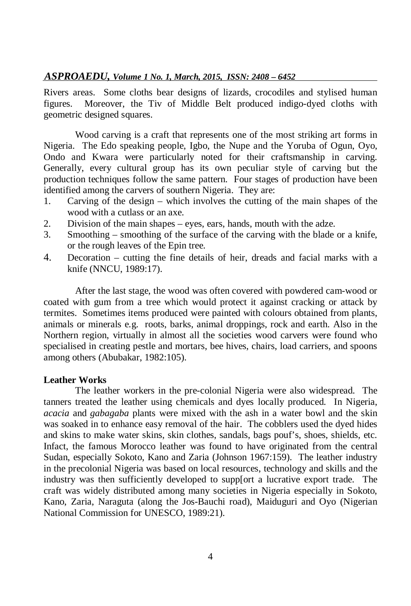Rivers areas. Some cloths bear designs of lizards, crocodiles and stylised human figures. Moreover, the Tiv of Middle Belt produced indigo-dyed cloths with geometric designed squares.

Wood carving is a craft that represents one of the most striking art forms in Nigeria. The Edo speaking people, Igbo, the Nupe and the Yoruba of Ogun, Oyo, Ondo and Kwara were particularly noted for their craftsmanship in carving. Generally, every cultural group has its own peculiar style of carving but the production techniques follow the same pattern. Four stages of production have been identified among the carvers of southern Nigeria. They are:

- 1. Carving of the design which involves the cutting of the main shapes of the wood with a cutlass or an axe.
- 2. Division of the main shapes eyes, ears, hands, mouth with the adze.
- 3. Smoothing smoothing of the surface of the carving with the blade or a knife, or the rough leaves of the Epin tree.
- 4. Decoration cutting the fine details of heir, dreads and facial marks with a knife (NNCU, 1989:17).

After the last stage, the wood was often covered with powdered cam-wood or coated with gum from a tree which would protect it against cracking or attack by termites. Sometimes items produced were painted with colours obtained from plants, animals or minerals e.g. roots, barks, animal droppings, rock and earth. Also in the Northern region, virtually in almost all the societies wood carvers were found who specialised in creating pestle and mortars, bee hives, chairs, load carriers, and spoons among others (Abubakar, 1982:105).

# **Leather Works**

The leather workers in the pre-colonial Nigeria were also widespread. The tanners treated the leather using chemicals and dyes locally produced. In Nigeria, *acacia* and *gabagaba* plants were mixed with the ash in a water bowl and the skin was soaked in to enhance easy removal of the hair. The cobblers used the dyed hides and skins to make water skins, skin clothes, sandals, bags pouf's, shoes, shields, etc. Infact, the famous Morocco leather was found to have originated from the central Sudan, especially Sokoto, Kano and Zaria (Johnson 1967:159). The leather industry in the precolonial Nigeria was based on local resources, technology and skills and the industry was then sufficiently developed to supp[ort a lucrative export trade. The craft was widely distributed among many societies in Nigeria especially in Sokoto, Kano, Zaria, Naraguta (along the Jos-Bauchi road), Maiduguri and Oyo (Nigerian National Commission for UNESCO, 1989:21).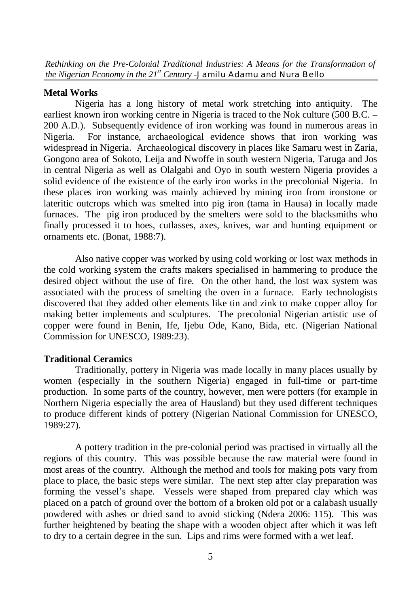### **Metal Works**

Nigeria has a long history of metal work stretching into antiquity. The earliest known iron working centre in Nigeria is traced to the Nok culture (500 B.C. – 200 A.D.). Subsequently evidence of iron working was found in numerous areas in Nigeria. For instance, archaeological evidence shows that iron working was widespread in Nigeria. Archaeological discovery in places like Samaru west in Zaria, Gongono area of Sokoto, Leija and Nwoffe in south western Nigeria, Taruga and Jos in central Nigeria as well as Olalgabi and Oyo in south western Nigeria provides a solid evidence of the existence of the early iron works in the precolonial Nigeria. In these places iron working was mainly achieved by mining iron from ironstone or lateritic outcrops which was smelted into pig iron (tama in Hausa) in locally made furnaces. The pig iron produced by the smelters were sold to the blacksmiths who finally processed it to hoes, cutlasses, axes, knives, war and hunting equipment or ornaments etc. (Bonat, 1988:7).

Also native copper was worked by using cold working or lost wax methods in the cold working system the crafts makers specialised in hammering to produce the desired object without the use of fire. On the other hand, the lost wax system was associated with the process of smelting the oven in a furnace. Early technologists discovered that they added other elements like tin and zink to make copper alloy for making better implements and sculptures. The precolonial Nigerian artistic use of copper were found in Benin, Ife, Ijebu Ode, Kano, Bida, etc. (Nigerian National Commission for UNESCO, 1989:23).

#### **Traditional Ceramics**

Traditionally, pottery in Nigeria was made locally in many places usually by women (especially in the southern Nigeria) engaged in full-time or part-time production. In some parts of the country, however, men were potters (for example in Northern Nigeria especially the area of Hausland) but they used different techniques to produce different kinds of pottery (Nigerian National Commission for UNESCO, 1989:27).

A pottery tradition in the pre-colonial period was practised in virtually all the regions of this country. This was possible because the raw material were found in most areas of the country. Although the method and tools for making pots vary from place to place, the basic steps were similar. The next step after clay preparation was forming the vessel's shape. Vessels were shaped from prepared clay which was placed on a patch of ground over the bottom of a broken old pot or a calabash usually powdered with ashes or dried sand to avoid sticking (Ndera 2006: 115). This was further heightened by beating the shape with a wooden object after which it was left to dry to a certain degree in the sun. Lips and rims were formed with a wet leaf.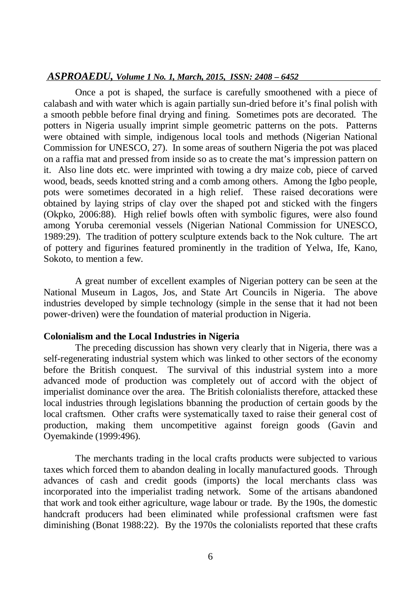Once a pot is shaped, the surface is carefully smoothened with a piece of calabash and with water which is again partially sun-dried before it's final polish with a smooth pebble before final drying and fining. Sometimes pots are decorated. The potters in Nigeria usually imprint simple geometric patterns on the pots. Patterns were obtained with simple, indigenous local tools and methods (Nigerian National Commission for UNESCO, 27). In some areas of southern Nigeria the pot was placed on a raffia mat and pressed from inside so as to create the mat's impression pattern on it. Also line dots etc. were imprinted with towing a dry maize cob, piece of carved wood, beads, seeds knotted string and a comb among others. Among the Igbo people, pots were sometimes decorated in a high relief. These raised decorations were obtained by laying strips of clay over the shaped pot and sticked with the fingers (Okpko, 2006:88). High relief bowls often with symbolic figures, were also found among Yoruba ceremonial vessels (Nigerian National Commission for UNESCO, 1989:29). The tradition of pottery sculpture extends back to the Nok culture. The art of pottery and figurines featured prominently in the tradition of Yelwa, Ife, Kano, Sokoto, to mention a few.

A great number of excellent examples of Nigerian pottery can be seen at the National Museum in Lagos, Jos, and State Art Councils in Nigeria. The above industries developed by simple technology (simple in the sense that it had not been power-driven) were the foundation of material production in Nigeria.

### **Colonialism and the Local Industries in Nigeria**

The preceding discussion has shown very clearly that in Nigeria, there was a self-regenerating industrial system which was linked to other sectors of the economy before the British conquest. The survival of this industrial system into a more advanced mode of production was completely out of accord with the object of imperialist dominance over the area. The British colonialists therefore, attacked these local industries through legislations bbanning the production of certain goods by the local craftsmen. Other crafts were systematically taxed to raise their general cost of production, making them uncompetitive against foreign goods (Gavin and Oyemakinde (1999:496).

The merchants trading in the local crafts products were subjected to various taxes which forced them to abandon dealing in locally manufactured goods. Through advances of cash and credit goods (imports) the local merchants class was incorporated into the imperialist trading network. Some of the artisans abandoned that work and took either agriculture, wage labour or trade. By the 190s, the domestic handcraft producers had been eliminated while professional craftsmen were fast diminishing (Bonat 1988:22). By the 1970s the colonialists reported that these crafts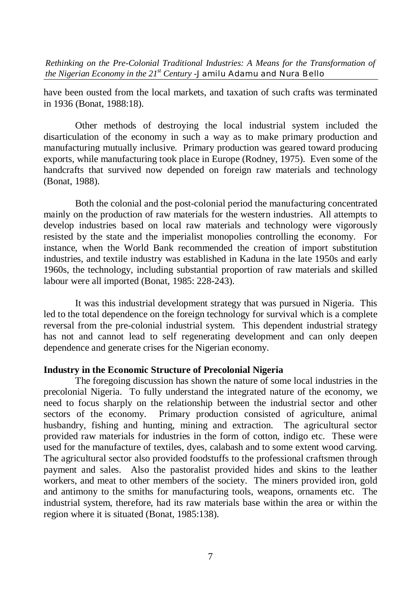have been ousted from the local markets, and taxation of such crafts was terminated in 1936 (Bonat, 1988:18).

Other methods of destroying the local industrial system included the disarticulation of the economy in such a way as to make primary production and manufacturing mutually inclusive. Primary production was geared toward producing exports, while manufacturing took place in Europe (Rodney, 1975). Even some of the handcrafts that survived now depended on foreign raw materials and technology (Bonat, 1988).

Both the colonial and the post-colonial period the manufacturing concentrated mainly on the production of raw materials for the western industries. All attempts to develop industries based on local raw materials and technology were vigorously resisted by the state and the imperialist monopolies controlling the economy. For instance, when the World Bank recommended the creation of import substitution industries, and textile industry was established in Kaduna in the late 1950s and early 1960s, the technology, including substantial proportion of raw materials and skilled labour were all imported (Bonat, 1985: 228-243).

It was this industrial development strategy that was pursued in Nigeria. This led to the total dependence on the foreign technology for survival which is a complete reversal from the pre-colonial industrial system. This dependent industrial strategy has not and cannot lead to self regenerating development and can only deepen dependence and generate crises for the Nigerian economy.

#### **Industry in the Economic Structure of Precolonial Nigeria**

The foregoing discussion has shown the nature of some local industries in the precolonial Nigeria. To fully understand the integrated nature of the economy, we need to focus sharply on the relationship between the industrial sector and other sectors of the economy. Primary production consisted of agriculture, animal husbandry, fishing and hunting, mining and extraction. The agricultural sector provided raw materials for industries in the form of cotton, indigo etc. These were used for the manufacture of textiles, dyes, calabash and to some extent wood carving. The agricultural sector also provided foodstuffs to the professional craftsmen through payment and sales. Also the pastoralist provided hides and skins to the leather workers, and meat to other members of the society. The miners provided iron, gold and antimony to the smiths for manufacturing tools, weapons, ornaments etc. The industrial system, therefore, had its raw materials base within the area or within the region where it is situated (Bonat, 1985:138).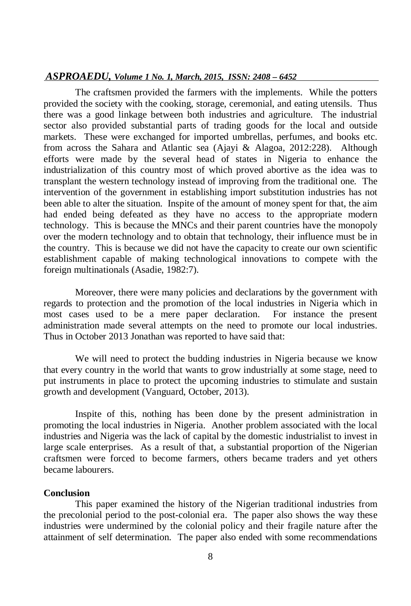The craftsmen provided the farmers with the implements. While the potters provided the society with the cooking, storage, ceremonial, and eating utensils. Thus there was a good linkage between both industries and agriculture. The industrial sector also provided substantial parts of trading goods for the local and outside markets. These were exchanged for imported umbrellas, perfumes, and books etc. from across the Sahara and Atlantic sea (Ajayi & Alagoa, 2012:228). Although efforts were made by the several head of states in Nigeria to enhance the industrialization of this country most of which proved abortive as the idea was to transplant the western technology instead of improving from the traditional one. The intervention of the government in establishing import substitution industries has not been able to alter the situation. Inspite of the amount of money spent for that, the aim had ended being defeated as they have no access to the appropriate modern technology. This is because the MNCs and their parent countries have the monopoly over the modern technology and to obtain that technology, their influence must be in the country. This is because we did not have the capacity to create our own scientific establishment capable of making technological innovations to compete with the foreign multinationals (Asadie, 1982:7).

Moreover, there were many policies and declarations by the government with regards to protection and the promotion of the local industries in Nigeria which in most cases used to be a mere paper declaration. For instance the present administration made several attempts on the need to promote our local industries. Thus in October 2013 Jonathan was reported to have said that:

We will need to protect the budding industries in Nigeria because we know that every country in the world that wants to grow industrially at some stage, need to put instruments in place to protect the upcoming industries to stimulate and sustain growth and development (Vanguard, October, 2013).

Inspite of this, nothing has been done by the present administration in promoting the local industries in Nigeria. Another problem associated with the local industries and Nigeria was the lack of capital by the domestic industrialist to invest in large scale enterprises. As a result of that, a substantial proportion of the Nigerian craftsmen were forced to become farmers, others became traders and yet others became labourers.

# **Conclusion**

This paper examined the history of the Nigerian traditional industries from the precolonial period to the post-colonial era. The paper also shows the way these industries were undermined by the colonial policy and their fragile nature after the attainment of self determination. The paper also ended with some recommendations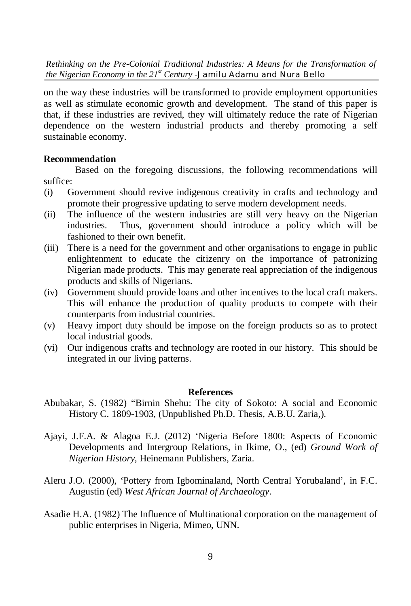on the way these industries will be transformed to provide employment opportunities as well as stimulate economic growth and development. The stand of this paper is that, if these industries are revived, they will ultimately reduce the rate of Nigerian dependence on the western industrial products and thereby promoting a self sustainable economy.

### **Recommendation**

Based on the foregoing discussions, the following recommendations will suffice:

- (i) Government should revive indigenous creativity in crafts and technology and promote their progressive updating to serve modern development needs.
- (ii) The influence of the western industries are still very heavy on the Nigerian industries. Thus, government should introduce a policy which will be fashioned to their own benefit.
- (iii) There is a need for the government and other organisations to engage in public enlightenment to educate the citizenry on the importance of patronizing Nigerian made products. This may generate real appreciation of the indigenous products and skills of Nigerians.
- (iv) Government should provide loans and other incentives to the local craft makers. This will enhance the production of quality products to compete with their counterparts from industrial countries.
- (v) Heavy import duty should be impose on the foreign products so as to protect local industrial goods.
- (vi) Our indigenous crafts and technology are rooted in our history. This should be integrated in our living patterns.

# **References**

- Abubakar, S. (1982) "Birnin Shehu: The city of Sokoto: A social and Economic History C. 1809-1903, (Unpublished Ph.D. Thesis, A.B.U. Zaria,).
- Ajayi, J.F.A. & Alagoa E.J. (2012) 'Nigeria Before 1800: Aspects of Economic Developments and Intergroup Relations, in Ikime, O., (ed) *Ground Work of Nigerian History*, Heinemann Publishers, Zaria.
- Aleru J.O. (2000), 'Pottery from Igbominaland, North Central Yorubaland', in F.C. Augustin (ed) *West African Journal of Archaeology*.
- Asadie H.A. (1982) The Influence of Multinational corporation on the management of public enterprises in Nigeria, Mimeo, UNN.